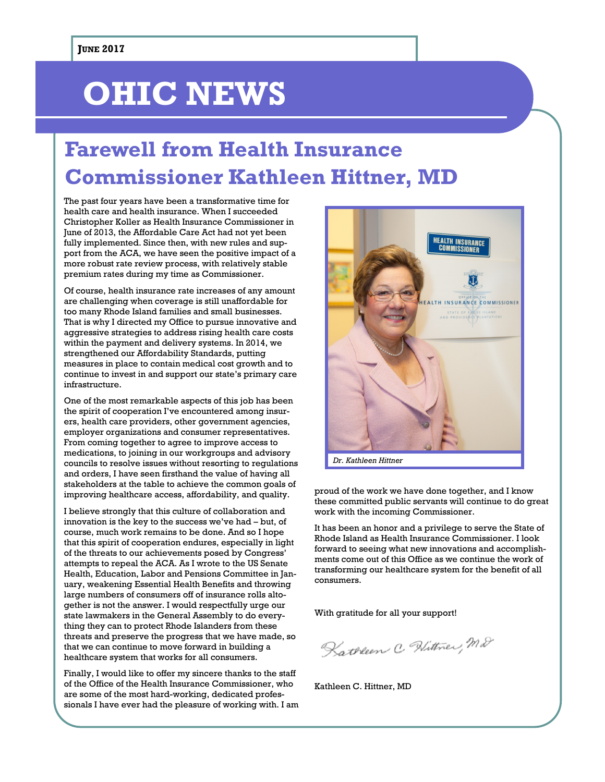# **OHIC NEWS**

## **Farewell from Health Insurance Commissioner Kathleen Hittner, MD**

The past four years have been a transformative time for health care and health insurance. When I succeeded Christopher Koller as Health Insurance Commissioner in June of 2013, the Affordable Care Act had not yet been fully implemented. Since then, with new rules and support from the ACA, we have seen the positive impact of a more robust rate review process, with relatively stable premium rates during my time as Commissioner.

Of course, health insurance rate increases of any amount are challenging when coverage is still unaffordable for too many Rhode Island families and small businesses. That is why I directed my Office to pursue innovative and aggressive strategies to address rising health care costs within the payment and delivery systems. In 2014, we strengthened our Affordability Standards, putting measures in place to contain medical cost growth and to continue to invest in and support our state's primary care infrastructure.

One of the most remarkable aspects of this job has been the spirit of cooperation I've encountered among insurers, health care providers, other government agencies, employer organizations and consumer representatives. From coming together to agree to improve access to medications, to joining in our workgroups and advisory councils to resolve issues without resorting to regulations and orders, I have seen firsthand the value of having all stakeholders at the table to achieve the common goals of improving healthcare access, affordability, and quality.

I believe strongly that this culture of collaboration and innovation is the key to the success we've had – but, of course, much work remains to be done. And so I hope that this spirit of cooperation endures, especially in light of the threats to our achievements posed by Congress' attempts to repeal the ACA. As I wrote to the US Senate Health, Education, Labor and Pensions Committee in January, weakening Essential Health Benefits and throwing large numbers of consumers off of insurance rolls altogether is not the answer. I would respectfully urge our state lawmakers in the General Assembly to do everything they can to protect Rhode Islanders from these threats and preserve the progress that we have made, so that we can continue to move forward in building a healthcare system that works for all consumers.

Finally, I would like to offer my sincere thanks to the staff of the Office of the Health Insurance Commissioner, who are some of the most hard-working, dedicated professionals I have ever had the pleasure of working with. I am



proud of the work we have done together, and I know these committed public servants will continue to do great work with the incoming Commissioner.

It has been an honor and a privilege to serve the State of Rhode Island as Health Insurance Commissioner. I look forward to seeing what new innovations and accomplishments come out of this Office as we continue the work of transforming our healthcare system for the benefit of all consumers.

With gratitude for all your support!

Kathleen C. Hittner, M.D.

Kathleen C. Hittner, MD